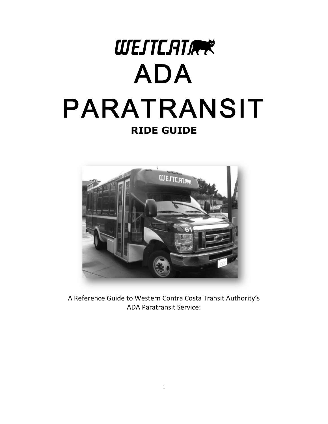



A Reference Guide to Western Contra Costa Transit Authority's ADA Paratransit Service: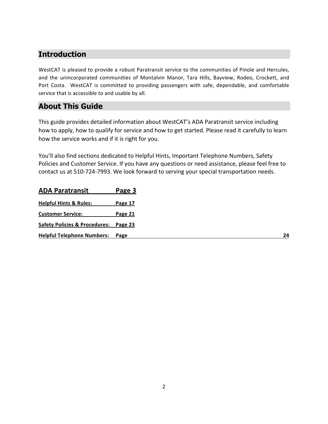### **Introduction**

WestCAT is pleased to provide a robust Paratransit service to the communities of Pinole and Hercules, and the unincorporated communities of Montalvin Manor, Tara Hills, Bayview, Rodeo, Crockett, and Port Costa. WestCAT is committed to providing passengers with safe, dependable, and comfortable service that is accessible to and usable by all.

### **About This Guide**

This guide provides detailed information about WestCAT's ADA Paratransit service including how to apply, how to qualify for service and how to get started. Please read it carefully to learn how the service works and if it is right for you.

You'll also find sections dedicated to Helpful Hints, Important Telephone Numbers, Safety Policies and Customer Service. If you have any questions or need assistance, please feel free to contact us at 510-724-7993. We look forward to serving your special transportation needs.

| Page 3<br>Page 17<br><b>Page 21</b><br>Safety Policies & Procedures: Page 23<br><b>Helpful Telephone Numbers: Page</b> |
|------------------------------------------------------------------------------------------------------------------------|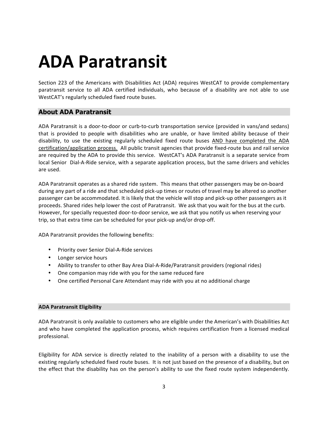# **ADA#Paratransit**

Section 223 of the Americans with Disabilities Act (ADA) requires WestCAT to provide complementary paratransit service to all ADA certified individuals, who because of a disability are not able to use WestCAT's regularly scheduled fixed route buses.

### **About ADA Paratransit**

ADA Paratransit is a door-to-door or curb-to-curb transportation service (provided in vans/and sedans) that is provided to people with disabilities who are unable, or have limited ability because of their disability, to use the existing regularly scheduled fixed route buses AND have completed the ADA certification/application process. All public transit agencies that provide fixed-route bus and rail service are required by the ADA to provide this service. WestCAT's ADA Paratransit is a separate service from local Senior" Dial-A-Ride service, with a separate application process, but the same drivers and vehicles are used.

ADA Paratransit operates as a shared ride system. This means that other passengers may be on-board during any part of a ride and that scheduled pick-up times or routes of travel may be altered so another passenger can be accommodated. It is likely that the vehicle will stop and pick-up other passengers as it proceeds. Shared rides help lower the cost of Paratransit. We ask that you wait for the bus at the curb. However, for specially requested door-to-door service, we ask that you notify us when reserving your trip, so that extra time can be scheduled for your pick-up and/or drop-off.

ADA Paratransit provides the following benefits:

- Priority over Senior Dial-A-Ride services
- Longer service hours
- Ability to transfer to other Bay Area Dial-A-Ride/Paratransit providers (regional rides)
- One companion may ride with you for the same reduced fare
- One certified Personal Care Attendant may ride with you at no additional charge

#### **ADA Paratransit Eligibility**

ADA Paratransit is only available to customers who are eligible under the American's with Disabilities Act and who have completed the application process, which requires certification from a licensed medical professional.

Eligibility for ADA service is directly related to the inability of a person with a disability to use the existing regularly scheduled fixed route buses. It is not just based on the presence of a disability, but on the effect that the disability has on the person's ability to use the fixed route system independently.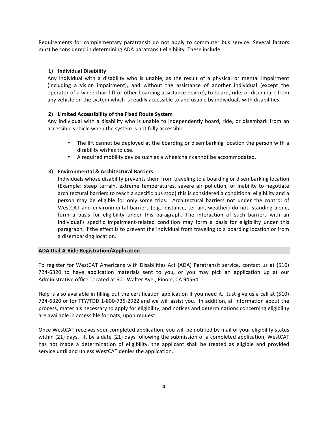Requirements for complementary paratransit do not apply to commuter bus service. Several factors must be considered in determining ADA paratransit eligibility. These include:

#### **1) Individual#Disability**

Any individual with a disability who is unable, as the result of a physical or mental impairment (including a vision impairment), and without the assistance of another individual (except the operator of a wheelchair lift or other boarding assistance device), to board, ride, or disembark from any vehicle on the system which is readily accessible to and usable by individuals with disabilities.

#### **2)** Limited Accessibility of the Fixed Route System

Any individual with a disability who is unable to independently board, ride, or disembark from an accessible vehicle when the system is not fully accessible.

- The lift cannot be deployed at the boarding or disembarking location the person with a disability wishes to use.
- A required mobility device such as a wheelchair cannot be accommodated.

#### **3) Environmental & Architectural Barriers**

Individuals whose disability prevents them from traveling to a boarding or disembarking location (Example: steep terrain, extreme temperatures, severe air pollution, or inability to negotiate architectural barriers to reach a specific bus stop) this is considered a conditional eligibility and a person may be eligible for only some trips. Architectural barriers not under the control of WestCAT and environmental barriers (e.g., distance, terrain, weather) do not, standing alone, form a basis for eligibility under this paragraph. The interaction of such barriers with an individual's specific impairment-related condition may form a basis for eligibility under this paragraph, if the effect is to prevent the individual from traveling to a boarding location or from a disembarking location.

#### **ADA Dial-A-Ride Registration/Application**

To register for WestCAT Americans with Disabilities Act (ADA) Paratransit service, contact us at (510) 724-6320 to have application materials sent to you, or you may pick an application up at our Administrative office, located at 601 Walter Ave., Pinole, CA 94564.

Help is also available in filling out the certification application if you need it. Just give us a call at (510) 724-6320 or for TTY/TDD 1-800-735-2922 and we will assist you. In addition, all information about the process, materials necessary to apply for eligibility, and notices and determinations concerning eligibility are available in accessible formats, upon request.

Once WestCAT receives your completed application, you will be notified by mail of your eligibility status within (21) days. If, by a date (21) days following the submission of a completed application, WestCAT has not made a determination of eligibility, the applicant shall be treated as eligible and provided service until and unless WestCAT denies the application.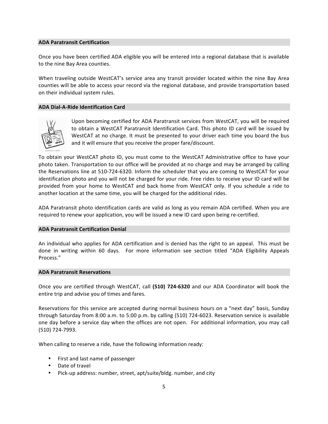#### **ADA Paratransit Certification**

Once you have been certified ADA eligible you will be entered into a regional database that is available to the nine Bay Area counties.

When traveling outside WestCAT's service area any transit provider located within the nine Bay Area counties will be able to access your record via the regional database, and provide transportation based on their individual system rules.

#### **ADA Dial-A-Ride Identification Card**



Upon becoming certified for ADA Paratransit services from WestCAT, you will be required to obtain a WestCAT Paratransit Identification Card. This photo ID card will be issued by WestCAT at no charge. It must be presented to your driver each time you board the bus and it will ensure that you receive the proper fare/discount.

To obtain your WestCAT photo ID, you must come to the WestCAT Administrative office to have your photo taken. Transportation to our office will be provided at no charge and may be arranged by calling the Reservations line at 510-724-6320. Inform the scheduler that you are coming to WestCAT for your identification photo and you will not be charged for your ride. Free rides to receive your ID card will be provided from your home to WestCAT and back home from WestCAT only. If you schedule a ride to another location at the same time, you will be charged for the additional rides.

ADA Paratransit photo identification cards are valid as long as you remain ADA certified. When you are required to renew your application, you will be issued a new ID card upon being re-certified.

#### **ADA Paratransit Certification Denial**

An individual who applies for ADA certification and is denied has the right to an appeal. This must be done in writing within 60 days. For more information see section titled "ADA Eligibility Appeals" Process."

#### **ADA Paratransit Reservations**

Once you are certified through WestCAT, call (510) 724-6320 and our ADA Coordinator will book the entire trip and advise you of times and fares.

Reservations for this service are accepted during normal business hours on a "next day" basis, Sunday through Saturday from 8:00 a.m. to 5:00 p.m. by calling (510) 724-6023. Reservation service is available one day before a service day when the offices are not open. For additional information, you may call (510) 724-7993.

When calling to reserve a ride, have the following information ready:

- First and last name of passenger
- Date of travel
- Pick-up address: number, street, apt/suite/bldg. number, and city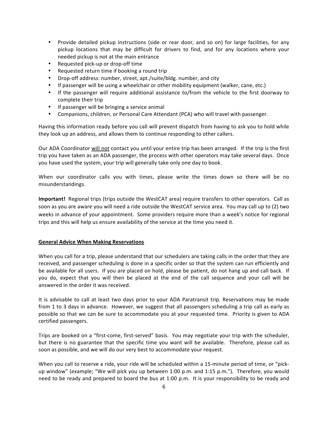- Provide detailed pickup instructions (side or rear door, and so on) for large facilities, for any pickup locations that may be difficult for drivers to find, and for any locations where your needed pickup is not at the main entrance
- Requested pick-up or drop-off time
- Requested return time if booking a round trip
- Drop-off address: number, street, apt./suite/bldg. number, and city
- If passenger will be using a wheelchair or other mobility equipment (walker, cane, etc.)
- If the passenger will require additional assistance to/from the vehicle to the first doorway to complete their trip
- If passenger will be bringing a service animal
- Companions, children, or Personal Care Attendant (PCA) who will travel with passenger.

Having this information ready before you call will prevent dispatch from having to ask you to hold while they look up an address, and allows them to continue responding to other callers.

Our ADA Coordinator will not contact you until your entire trip has been arranged. If the trip is the first trip you have taken as an ADA passenger, the process with other operators may take several days. Once you have used the system, your trip will generally take only one day to book.

When our coordinator calls you with times, please write the times down so there will be no misunderstandings.

**Important!** Regional trips (trips outside the WestCAT area) require transfers to other operators. Call as soon as you are aware you will need a ride outside the WestCAT service area. You may call up to (2) two weeks in advance of your appointment. Some providers require more than a week's notice for regional trips and this will help us ensure availability of the service at the time you need it.

#### **General Advice When Making Reservations**

When you call for a trip, please understand that our schedulers are taking calls in the order that they are received, and passenger scheduling is done in a specific order so that the system can run efficiently and be available for all users. If you are placed on hold, please be patient, do not hang up and call back. If you do, expect that you will then be placed at the end of the call sequence and your call will be answered in the order it was received.

It is advisable to call at least two days prior to your ADA Paratransit trip. Reservations may be made from 1 to 3 days in advance. However, we suggest that all passengers scheduling a trip call as early as possible so that we can be sure to accommodate you at your requested time. Priority is given to ADA certified passengers.

Trips are booked on a "first-come, first-served" basis. You may negotiate your trip with the scheduler, but there is no guarantee that the specific time you want will be available. Therefore, please call as soon as possible, and we will do our very best to accommodate your request.

When you call to reserve a ride, your ride will be scheduled within a 15-minute period of time, or "pickup window" (example; "We will pick you up between 1:00 p.m. and 1:15 p.m."). Therefore, you would need to be ready and prepared to board the bus at 1:00 p.m. It is your responsibility to be ready and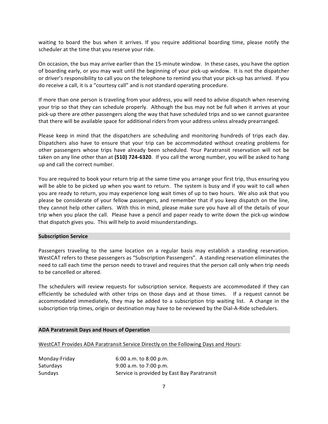waiting to board the bus when it arrives. If you require additional boarding time, please notify the scheduler at the time that you reserve your ride.

On occasion, the bus may arrive earlier than the 15-minute window. In these cases, you have the option of boarding early, or you may wait until the beginning of your pick-up window. It is not the dispatcher or driver's responsibility to call you on the telephone to remind you that your pick-up has arrived. If you do receive a call, it is a "courtesy call" and is not standard operating procedure.

If more than one person is traveling from your address, you will need to advise dispatch when reserving your trip so that they can schedule properly. Although the bus may not be full when it arrives at your pick-up there are other passengers along the way that have scheduled trips and so we cannot guarantee that there will be available space for additional riders from your address unless already prearranged.

Please keep in mind that the dispatchers are scheduling and monitoring hundreds of trips each day. Dispatchers also have to ensure that your trip can be accommodated without creating problems for other passengers whose trips have already been scheduled. Your Paratransit reservation will not be taken on any line other than at (510) 724-6320. If you call the wrong number, you will be asked to hang up and call the correct number.

You are required to book your return trip at the same time you arrange your first trip, thus ensuring you will be able to be picked up when you want to return. The system is busy and if you wait to call when you are ready to return, you may experience long wait times of up to two hours. We also ask that you please be considerate of your fellow passengers, and remember that if you keep dispatch on the line, they cannot help other callers. With this in mind, please make sure you have all of the details of your trip when you place the call. "Please have a pencil and paper ready to write down the pick-up window that dispatch gives you. This will help to avoid misunderstandings.

#### **Subscription Service**

Passengers traveling to the same location on a regular basis may establish a standing reservation. WestCAT refers to these passengers as "Subscription Passengers". A standing reservation eliminates the need to call each time the person needs to travel and requires that the person call only when trip needs to be cancelled or altered.

The schedulers will review requests for subscription service. Requests are accommodated if they can efficiently be scheduled with other trips on those days and at those times. If a request cannot be accommodated immediately, they may be added to a subscription trip waiting list. A change in the subscription trip times, origin or destination may have to be reviewed by the Dial-A-Ride schedulers.

#### **ADA Paratransit Days and Hours of Operation**

WestCAT Provides ADA Paratransit Service Directly on the Following Days and Hours:

| Monday-Friday | 6:00 a.m. to 8:00 p.m.                      |
|---------------|---------------------------------------------|
| Saturdays     | $9:00$ a.m. to 7:00 p.m.                    |
| Sundays       | Service is provided by East Bay Paratransit |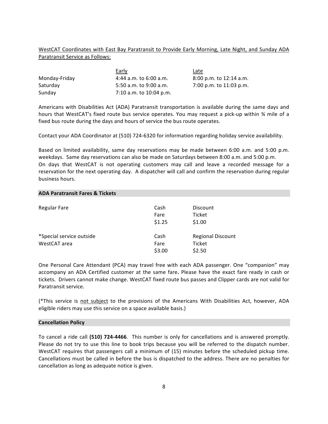#### WestCAT Coordinates with East Bay Paratransit to Provide Early Morning, Late Night, and Sunday ADA Paratransit Service as Follows:

|               | Early                      | <u>Late</u>               |
|---------------|----------------------------|---------------------------|
| Monday-Friday | $4:44$ a.m. to $6:00$ a.m. | $8:00$ p.m. to 12:14 a.m. |
| Saturday      | 5:50 a.m. to 9:00 a.m.     | 7:00 p.m. to 11:03 p.m.   |
| Sunday        | 7:10 a.m. to 10:04 p.m.    |                           |

Americans with Disabilities Act (ADA) Paratransit transportation is available during the same days and hours that WestCAT's fixed route bus service operates. You may request a pick-up within % mile of a fixed bus route during the days and hours of service the bus route operates.

Contact your ADA Coordinator at (510) 724-6320 for information regarding holiday service availability.

Based on limited availability, same day reservations may be made between 6:00 a.m. and 5:00 p.m. weekdays. Same day reservations can also be made on Saturdays between 8:00 a.m. and 5:00 p.m. On days that WestCAT is not operating customers may call and leave a recorded message for a reservation for the next operating day. A dispatcher will call and confirm the reservation during regular business hours.

#### **ADA Paratransit Fares & Tickets**

| Regular Fare                             | Cash<br>Fare<br>\$1.25 | Discount<br>Ticket<br>\$1.00                 |
|------------------------------------------|------------------------|----------------------------------------------|
| *Special service outside<br>WestCAT area | Cash<br>Fare<br>\$3.00 | <b>Regional Discount</b><br>Ticket<br>\$2.50 |

One Personal Care Attendant (PCA) may travel free with each ADA passenger. One "companion" may accompany an ADA Certified customer at the same fare. Please have the exact fare ready in cash or tickets. Drivers cannot make change. WestCAT fixed route bus passes and Clipper cards are not valid for Paratransit service.

(\*This service is not subject to the provisions of the Americans With Disabilities Act, however, ADA eligible riders may use this service on a space available basis.)

#### **Cancellation Policy**

To cancel a ride call (510) 724-4466. This number is only for cancellations and is answered promptly. Please do not try to use this line to book trips because you will be referred to the dispatch number. WestCAT requires that passengers call a minimum of (15) minutes before the scheduled pickup time. Cancellations must be called in before the bus is dispatched to the address. There are no penalties for cancellation as long as adequate notice is given.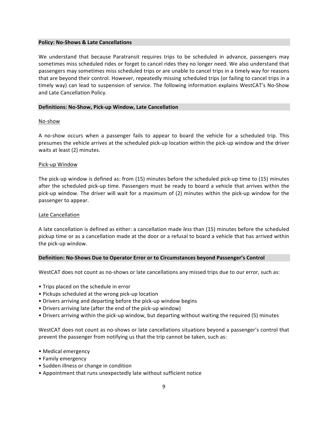#### **Policy: No-Shows & Late Cancellations**

We understand that because Paratransit requires trips to be scheduled in advance, passengers may sometimes miss scheduled rides or forget to cancel rides they no longer need. We also understand that passengers may sometimes miss scheduled trips or are unable to cancel trips in a timely way for reasons that are beyond their control. However, repeatedly missing scheduled trips (or failing to cancel trips in a timely way) can lead to suspension of service. The following information explains WestCAT's No-Show and Late Cancellation Policy.

#### **Definitions: No-Show, Pick-up Window, Late Cancellation**

#### No-show

A no-show occurs when a passenger fails to appear to board the vehicle for a scheduled trip. This presumes the vehicle arrives at the scheduled pick-up location within the pick-up window and the driver waits at least (2) minutes.

#### Pick-up Window

The pick-up window is defined as: from (15) minutes before the scheduled pick-up time to (15) minutes after the scheduled pick-up time. Passengers must be ready to board a vehicle that arrives within the pick-up window. The driver will wait for a maximum of (2) minutes within the pick-up window for the passenger to appear.

#### Late Cancellation

A late cancellation is defined as either: a cancellation made *less* than (15) minutes before the scheduled pickup time or as a cancellation made at the door or a refusal to board a vehicle that has arrived within the pick-up window.

#### Definition: No-Shows Due to Operator Error or to Circumstances beyond Passenger's Control

WestCAT does not count as no-shows or late cancellations any missed trips due to our error, such as:

- Trips placed on the schedule in error
- Pickups scheduled at the wrong pick-up location
- Drivers arriving and departing before the pick-up window begins
- Drivers arriving late (after the end of the pick-up window)
- Drivers arriving within the pick-up window, but departing without waiting the required (5) minutes

WestCAT does not count as no-shows or late cancellations situations beyond a passenger's control that prevent the passenger from notifying us that the trip cannot be taken, such as:

- Medical emergency
- Family emergency
- Sudden illness or change in condition
- Appointment that runs unexpectedly late without sufficient notice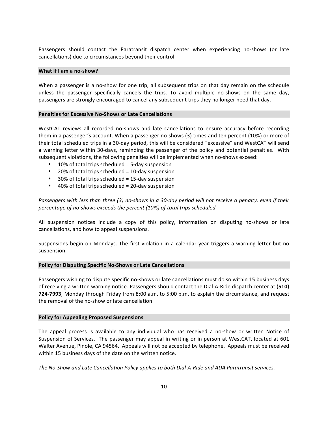Passengers should contact the Paratransit dispatch center when experiencing no-shows (or late cancellations) due to circumstances beyond their control.

#### **What if I am a no-show?**

When a passenger is a no-show for one trip, all subsequent trips on that day remain on the schedule unless the passenger specifically cancels the trips. To avoid multiple no-shows on the same day, passengers are strongly encouraged to cancel any subsequent trips they no longer need that day.

#### **Penalties for Excessive No-Shows or Late Cancellations**

WestCAT reviews all recorded no-shows and late cancellations to ensure accuracy before recording them in a passenger's account. When a passenger no-shows (3) times and ten percent (10%) or more of their total scheduled trips in a 30-day period, this will be considered "excessive" and WestCAT will send a warning letter within 30-days, reminding the passenger of the policy and potential penalties. With subsequent violations, the following penalties will be implemented when no-shows exceed:

- 10% of total trips scheduled  $=$  5-day suspension
- 20% of total trips scheduled  $= 10$ -day suspension
- 30% of total trips scheduled = 15-day suspension
- 40% of total trips scheduled  $= 20$ -day suspension

*Passengers with less than three (3) no-shows in a 30-day period will not receive a penalty, even if their* percentage of no-shows exceeds the percent (10%) of total trips scheduled.

All suspension notices include a copy of this policy, information on disputing no-shows or late cancellations, and how to appeal suspensions.

Suspensions begin on Mondays. The first violation in a calendar year triggers a warning letter but no suspension.

#### **Policy for Disputing Specific No-Shows or Late Cancellations**

Passengers wishing to dispute specific no-shows or late cancellations must do so within 15 business days of receiving a written warning notice. Passengers should contact the Dial-A-Ride dispatch center at (**510) 724-7993**, Monday through Friday from 8:00 a.m. to 5:00 p.m. to explain the circumstance, and request the removal of the no-show or late cancellation.

#### **Policy for Appealing Proposed Suspensions**

The appeal process is available to any individual who has received a no-show or written Notice of Suspension of Services. The passenger may appeal in writing or in person at WestCAT, located at 601 Walter Avenue, Pinole, CA 94564. Appeals will not be accepted by telephone. Appeals must be received within 15 business days of the date on the written notice.

The No-Show and Late Cancellation Policy applies to both Dial-A-Ride and ADA Paratransit services.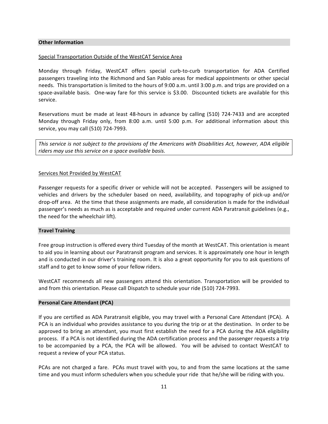#### **Other Information**

#### Special Transportation Outside of the WestCAT Service Area

Monday through Friday, WestCAT offers special curb-to-curb transportation for ADA Certified passengers traveling into the Richmond and San Pablo areas for medical appointments or other special needs. This transportation is limited to the hours of 9:00 a.m. until 3:00 p.m. and trips are provided on a space-available basis. One-way fare for this service is \$3.00. Discounted tickets are available for this service.

Reservations must be made at least 48-hours in advance by calling (510) 724-7433 and are accepted Monday through Friday only, from 8:00 a.m. until 5:00 p.m. For additional information about this service, you may call (510) 724-7993.

*This service is not subject to the provisions of the Americans with Disabilities Act, however, ADA eligible* riders may use this service on a space available basis.

#### Services Not Provided by WestCAT

Passenger requests for a specific driver or vehicle will not be accepted. Passengers will be assigned to vehicles and drivers by the scheduler based on need, availability, and topography of pick-up and/or drop-off area. At the time that these assignments are made, all consideration is made for the individual passenger's needs as much as is acceptable and required under current ADA Paratransit guidelines (e.g., the need for the wheelchair lift).

#### **Travel Training**

Free group instruction is offered every third Tuesday of the month at WestCAT. This orientation is meant to aid you in learning about our Paratransit program and services. It is approximately one hour in length and is conducted in our driver's training room. It is also a great opportunity for you to ask questions of staff and to get to know some of your fellow riders.

WestCAT recommends all new passengers attend this orientation. Transportation will be provided to and from this orientation. Please call Dispatch to schedule your ride (510) 724-7993.

#### **Personal Care Attendant (PCA)**

If you are certified as ADA Paratransit eligible, you may travel with a Personal Care Attendant (PCA). A PCA is an individual who provides assistance to you during the trip or at the destination. In order to be approved to bring an attendant, you must first establish the need for a PCA during the ADA eligibility process. If a PCA is not identified during the ADA certification process and the passenger requests a trip to be accompanied by a PCA, the PCA will be allowed. You will be advised to contact WestCAT to request a review of your PCA status.

PCAs are not charged a fare. PCAs must travel with you, to and from the same locations at the same time and you must inform schedulers when you schedule your ride that he/she will be riding with you.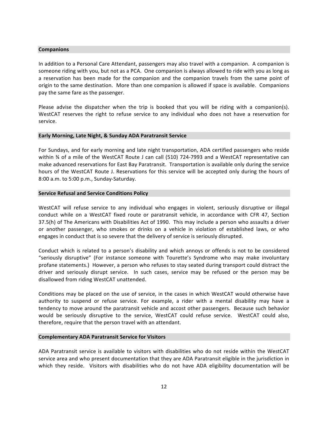#### **Companions**

In addition to a Personal Care Attendant, passengers may also travel with a companion. A companion is someone riding with you, but not as a PCA. One companion is always allowed to ride with you as long as a reservation has been made for the companion and the companion travels from the same point of origin to the same destination. More than one companion is allowed if space is available. Companions pay the same fare as the passenger.

Please advise the dispatcher when the trip is booked that you will be riding with a companion(s). WestCAT reserves the right to refuse service to any individual who does not have a reservation for service.

#### **Early Morning, Late Night, & Sunday ADA Paratransit Service**

For Sundays, and for early morning and late night transportation, ADA certified passengers who reside within % of a mile of the WestCAT Route J can call (510) 724-7993 and a WestCAT representative can make advanced reservations for East Bay Paratransit. Transportation is available only during the service hours of the WestCAT Route J. Reservations for this service will be accepted only during the hours of 8:00 a.m. to 5:00 p.m., Sunday-Saturday.

#### **Service Refusal and Service Conditions Policy**

WestCAT will refuse service to any individual who engages in violent, seriously disruptive or illegal conduct while on a WestCAT fixed route or paratransit vehicle, in accordance with CFR 47, Section 37.5(h) of The Americans with Disabilities Act of 1990. This may include a person who assaults a driver or another passenger, who smokes or drinks on a vehicle in violation of established laws, or who engages in conduct that is so severe that the delivery of service is seriously disrupted.

Conduct which is related to a person's disability and which annoys or offends is not to be considered "seriously disruptive" (For instance someone with Tourette's Syndrome who may make involuntary profane statements.) However, a person who refuses to stay seated during transport could distract the driver and seriously disrupt service. In such cases, service may be refused or the person may be disallowed from riding WestCAT unattended.

Conditions may be placed on the use of service, in the cases in which WestCAT would otherwise have authority to suspend or refuse service. For example, a rider with a mental disability may have a tendency to move around the paratransit vehicle and accost other passengers. Because such behavior would be seriously disruptive to the service, WestCAT could refuse service. WestCAT could also, therefore, require that the person travel with an attendant.

#### **Complementary ADA Paratransit Service for Visitors**

ADA Paratransit service is available to visitors with disabilities who do not reside within the WestCAT service area and who present documentation that they are ADA Paratransit eligible in the jurisdiction in which they reside. Visitors with disabilities who do not have ADA eligibility documentation will be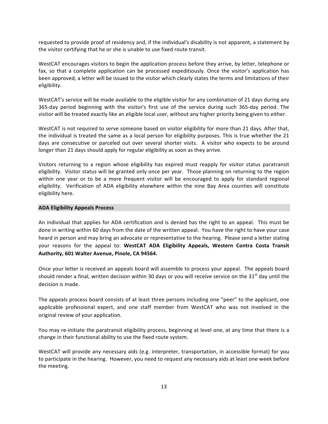requested to provide proof of residency and, if the individual's disability is not apparent, a statement by the visitor certifying that he or she is unable to use fixed route transit.

WestCAT encourages visitors to begin the application process before they arrive, by letter, telephone or fax, so that a complete application can be processed expeditiously. Once the visitor's application has been approved, a letter will be issued to the visitor which clearly states the terms and limitations of their eligibility.

WestCAT's service will be made available to the eligible visitor for any combination of 21 days during any 365-day period beginning with the visitor's first use of the service during such 365-day period. The visitor will be treated exactly like an eligible local user, without any higher priority being given to either.

WestCAT is not required to serve someone based on visitor eligibility for more than 21 days. After that, the individual is treated the same as a local person for eligibility purposes. This is true whether the 21 days are consecutive or parceled out over several shorter visits. A visitor who expects to be around longer than 21 days should apply for regular eligibility as soon as they arrive.

Visitors returning to a region whose eligibility has expired must reapply for visitor status paratransit eligibility. Visitor status will be granted only once per year. Those planning on returning to the region within one year or to be a more frequent visitor will be encouraged to apply for standard regional eligibility. Verification of ADA eligibility elsewhere within the nine Bay Area counties will constitute eligibility here.

#### **ADA Eligibility Appeals Process**

An individual that applies for ADA certification and is denied has the right to an appeal. This must be done in writing within 60 days from the date of the written appeal. You have the right to have your case heard in person and may bring an advocate or representative to the hearing. Please send a letter stating your reasons for the appeal to: WestCAT ADA Eligibility Appeals, Western Contra Costa Transit Authority, 601 Walter Avenue, Pinole, CA 94564.

Once your letter is received an appeals board will assemble to process your appeal. The appeals board should render a final, written decision within 30 days or you will receive service on the 31st day until the decision is made.

The appeals process board consists of at least three persons including one "peer" to the applicant, one applicable professional expert, and one staff member from WestCAT who was not involved in the original review of your application.

You may re-initiate the paratransit eligibility process, beginning at level one, at any time that there is a change in their functional ability to use the fixed route system.

WestCAT will provide any necessary aids (e.g. interpreter, transportation, in accessible format) for you to participate in the hearing. However, you need to request any necessary aids at least one week before the meeting.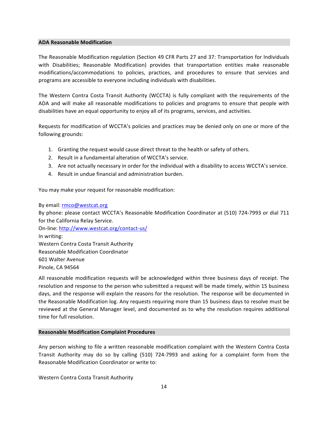#### **ADA Reasonable Modification**

The Reasonable Modification regulation (Section 49 CFR Parts 27 and 37: Transportation for Individuals with Disabilities; Reasonable Modification) provides that transportation entities make reasonable modifications/accommodations to policies, practices, and procedures to ensure that services and programs are accessible to everyone including individuals with disabilities.

The Western Contra Costa Transit Authority (WCCTA) is fully compliant with the requirements of the ADA and will make all reasonable modifications to policies and programs to ensure that people with disabilities have an equal opportunity to enjoy all of its programs, services, and activities.

Requests for modification of WCCTA's policies and practices may be denied only on one or more of the following grounds:

- 1. Granting the request would cause direct threat to the health or safety of others.
- 2. Result in a fundamental alteration of WCCTA's service.
- 3. Are not actually necessary in order for the individual with a disability to access WCCTA's service.
- 4. Result in undue financial and administration burden.

You may make your request for reasonable modification:

#### By email: rmco@westcat.org

By phone: please contact WCCTA's Reasonable Modification Coordinator at (510) 724-7993 or dial 711 for the California Relay Service.

On-line: http://www.westcat.org/contact-us/ In writing: Western Contra Costa Transit Authority Reasonable Modification Coordinator 601 Walter Avenue Pinole, CA 94564

All reasonable modification requests will be acknowledged within three business days of receipt. The resolution and response to the person who submitted a request will be made timely, within 15 business days, and the response will explain the reasons for the resolution. The response will be documented in the Reasonable Modification log. Any requests requiring more than 15 business days to resolve must be reviewed at the General Manager level, and documented as to why the resolution requires additional time for full resolution.

#### **Reasonable Modification Complaint Procedures**

Any person wishing to file a written reasonable modification complaint with the Western Contra Costa Transit Authority may do so by calling (510) 724-7993 and asking for a complaint form from the Reasonable Modification Coordinator or write to:

Western Contra Costa Transit Authority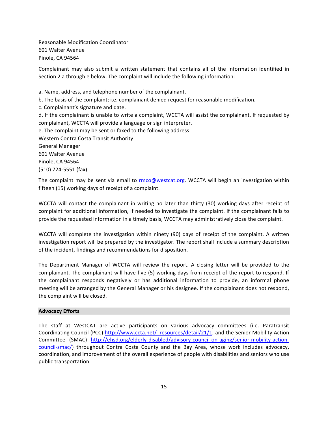Reasonable Modification Coordinator 601 Walter Avenue Pinole, CA 94564

Complainant may also submit a written statement that contains all of the information identified in Section 2 a through e below. The complaint will include the following information:

a. Name, address, and telephone number of the complainant. b. The basis of the complaint; i.e. complainant denied request for reasonable modification. c. Complainant's signature and date. d. If the complainant is unable to write a complaint, WCCTA will assist the complainant. If requested by complainant, WCCTA will provide a language or sign interpreter. e. The complaint may be sent or faxed to the following address: Western Contra Costa Transit Authority General"Manager 601 Walter Avenue Pinole, CA 94564 (510) 724-5551 (fax)

The complaint may be sent via email to rmco@westcat.org. WCCTA will begin an investigation within fifteen (15) working days of receipt of a complaint.

WCCTA will contact the complainant in writing no later than thirty (30) working days after receipt of complaint for additional information, if needed to investigate the complaint. If the complainant fails to provide the requested information in a timely basis, WCCTA may administratively close the complaint.

WCCTA will complete the investigation within ninety (90) days of receipt of the complaint. A written investigation report will be prepared by the investigator. The report shall include a summary description of the incident, findings and recommendations for disposition.

The Department Manager of WCCTA will review the report. A closing letter will be provided to the complainant. The complainant will have five (5) working days from receipt of the report to respond. If the complainant responds negatively or has additional information to provide, an informal phone meeting will be arranged by the General Manager or his designee. If the complainant does not respond, the complaint will be closed.

#### **Advocacy Efforts**

The staff at WestCAT are active participants on various advocacy committees (i.e. Paratransit Coordinating Council (PCC) http://www.ccta.net/\_resources/detail/21/1, and the Senior Mobility Action Committee (SMAC) http://ehsd.org/elderly-disabled/advisory-council-on-aging/senior-mobility-actioncouncil-smac/) throughout Contra Costa County and the Bay Area, whose work includes advocacy, coordination, and improvement of the overall experience of people with disabilities and seniors who use public transportation.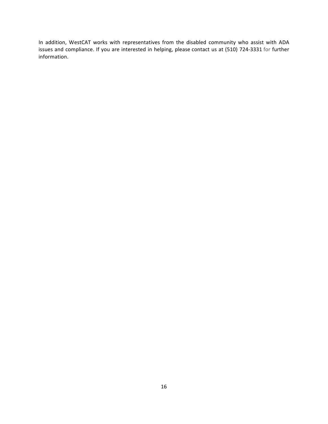In addition, WestCAT works with representatives from the disabled community who assist with ADA issues and compliance. If you are interested in helping, please contact us at (510) 724-3331 for further information.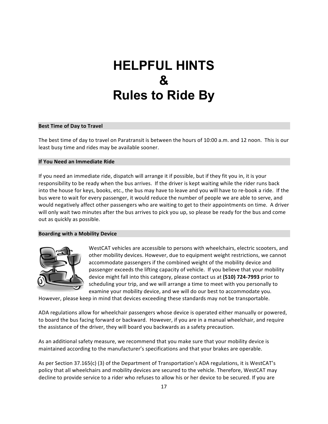## **HELPFUL HINTS & Rules to Ride By**

#### **Best Time of Day to Travel**

The best time of day to travel on Paratransit is between the hours of 10:00 a.m. and 12 noon. This is our least busy time and rides may be available sooner.

#### **If You Need an Immediate Ride**

If you need an immediate ride, dispatch will arrange it if possible, but if they fit you in, it is your responsibility to be ready when the bus arrives. If the driver is kept waiting while the rider runs back into the house for keys, books, etc., the bus may have to leave and you will have to re-book a ride. If the bus were to wait for every passenger, it would reduce the number of people we are able to serve, and would negatively affect other passengers who are waiting to get to their appointments on time. A driver will only wait two minutes after the bus arrives to pick you up, so please be ready for the bus and come out as quickly as possible.

#### **Boarding with a Mobility Device**



WestCAT vehicles are accessible to persons with wheelchairs, electric scooters, and other mobility devices. However, due to equipment weight restrictions, we cannot accommodate passengers if the combined weight of the mobility device and passenger exceeds the lifting capacity of vehicle. If you believe that your mobility device might fall into this category, please contact us at (510) 724-7993 prior to scheduling your trip, and we will arrange a time to meet with you personally to examine your mobility device, and we will do our best to accommodate you.

However, please keep in mind that devices exceeding these standards may not be transportable.

ADA regulations allow for wheelchair passengers whose device is operated either manually or powered, to board the bus facing forward or backward. However, if you are in a manual wheelchair, and require the assistance of the driver, they will board you backwards as a safety precaution.

As an additional safety measure, we recommend that you make sure that your mobility device is maintained according to the manufacturer's specifications and that your brakes are operable.

As per Section 37.165(c) (3) of the Department of Transportation's ADA regulations, it is WestCAT's policy that all wheelchairs and mobility devices are secured to the vehicle. Therefore, WestCAT may decline to provide service to a rider who refuses to allow his or her device to be secured. If you are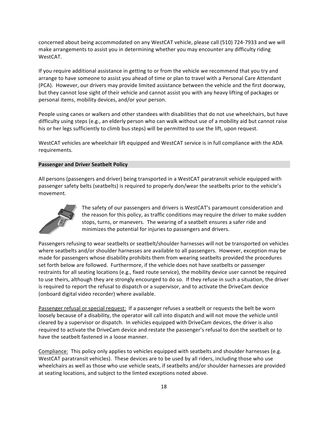concerned about being accommodated on any WestCAT vehicle, please call (510) 724-7933 and we will make arrangements to assist you in determining whether you may encounter any difficulty riding WestCAT.

If you require additional assistance in getting to or from the vehicle we recommend that you try and arrange to have someone to assist you ahead of time or plan to travel with a Personal Care Attendant (PCA). However, our drivers may provide limited assistance between the vehicle and the first doorway, but they cannot lose sight of their vehicle and cannot assist you with any heavy lifting of packages or personal items, mobility devices, and/or your person.

People using canes or walkers and other standees with disabilities that do not use wheelchairs, but have difficulty using steps (e.g., an elderly person who can walk without use of a mobility aid but cannot raise his or her legs sufficiently to climb bus steps) will be permitted to use the lift, upon request.

WestCAT vehicles are wheelchair lift equipped and WestCAT service is in full compliance with the ADA requirements.

#### **Passenger and Driver Seatbelt Policy**

All persons (passengers and driver) being transported in a WestCAT paratransit vehicle equipped with passenger safety belts (seatbelts) is required to properly don/wear the seatbelts prior to the vehicle's movement.



The safety of our passengers and drivers is WestCAT's paramount consideration and the reason for this policy, as traffic conditions may require the driver to make sudden stops, turns, or manevers. The wearing of a seatbelt ensures a safer ride and minimizes the potential for injuries to passengers and drivers.

Passengers refusing to wear seatbelts or seatbelt/shoulder harnesses will not be transported on vehicles where seatbelts and/or shoulder harnesses are available to all passengers. However, exception may be made for passengers whose disability prohibits them from wearing seatbelts provided the procedures set forth below are followed. Furthermore, if the vehicle does not have seatbelts or passenger restraints for all seating locations (e.g., fixed route service), the mobility device user cannot be required to use theirs, although they are strongly encourged to do so. If they refuse in such a situation, the driver is required to report the refusal to dispatch or a supervisor, and to activate the DriveCam device (onboard digital video recorder) where available.

Passenger refusal or special request: If a passenger refuses a seatbelt or requests the belt be worn loosely because of a disability, the operator will call into dispatch and will not move the vehicle until cleared by a supervisor or dispatch. In vehicles equipped with DriveCam devices, the driver is also required to activate the DriveCam device and restate the passenger's refusal to don the seatbelt or to have the seatbelt fastened in a loose manner.

Compliance: This policy only applies to vehicles equipped with seatbelts and shoulder harnesses (e.g. WestCAT paratransit vehicles). These devices are to be used by all riders, including those who use wheelchairs as well as those who use vehicle seats, if seatbelts and/or shoulder harnesses are provided at seating locations, and subject to the limted exceptions noted above.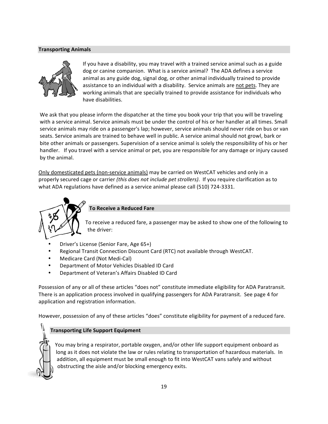#### **Transporting#Animals**



If you have a disability, you may travel with a trained service animal such as a guide dog or canine companion. What is a service animal? The ADA defines a service animal as any guide dog, signal dog, or other animal individually trained to provide assistance to an individual with a disability. Service animals are not pets. They are working animals that are specially trained to provide assistance for individuals who have disabilities.

We ask that you please inform the dispatcher at the time you book your trip that you will be traveling with a service animal. Service animals must be under the control of his or her handler at all times. Small service animals may ride on a passenger's lap; however, service animals should never ride on bus or van seats. Service animals are trained to behave well in public. A service animal should not growl, bark or bite other animals or passengers. Supervision of a service animal is solely the responsibility of his or her handler. If you travel with a service animal or pet, you are responsible for any damage or injury caused by the animal.

Only domesticated pets (non-service animals) may be carried on WestCAT vehicles and only in a properly secured cage or carrier (this does not include pet strollers). If you require clarification as to what ADA regulations have defined as a service animal please call (510) 724-3331.



#### **To Receive a Reduced Fare**

To receive a reduced fare, a passenger may be asked to show one of the following to the driver:

- Driver's License (Senior Fare, Age 65+)
- Regional Transit Connection Discount Card (RTC) not available through WestCAT.
- Medicare Card (Not Medi-Cal)
- Department of Motor Vehicles Disabled ID Card
- Department of Veteran's Affairs Disabled ID Card

Possession of any or all of these articles "does not" constitute immediate eligibility for ADA Paratransit. There is an application process involved in qualifying passengers for ADA Paratransit. See page 4 for application and registration information.

However, possession of any of these articles "does" constitute eligibility for payment of a reduced fare.

#### **Transporting Life Support Equipment**

You may bring a respirator, portable oxygen, and/or other life support equipment onboard as long as it does not violate the law or rules relating to transportation of hazardous materials. In addition, all equipment must be small enough to fit into WestCAT vans safely and without obstructing the aisle and/or blocking emergency exits.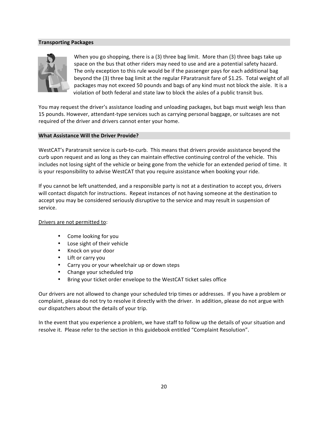#### **Transporting#Packages**



When you go shopping, there is a  $(3)$  three bag limit. More than  $(3)$  three bags take up space on the bus that other riders may need to use and are a potential safety hazard. The only exception to this rule would be if the passenger pays for each additional bag beyond the (3) three bag limit at the regular FParatransit fare of \$1.25. Total weight of all packages may not exceed 50 pounds and bags of any kind must not block the aisle. It is a violation of both federal and state law to block the aisles of a public transit bus.

You may request the driver's assistance loading and unloading packages, but bags must weigh less than 15 pounds. However, attendant-type services such as carrying personal baggage, or suitcases are not required of the driver and drivers cannot enter your home.

#### **What Assistance Will the Driver Provide?**

WestCAT's Paratransit service is curb-to-curb. This means that drivers provide assistance beyond the curb upon request and as long as they can maintain effective continuing control of the vehicle. This includes not losing sight of the vehicle or being gone from the vehicle for an extended period of time. It is your responsibility to advise WestCAT that you require assistance when booking your ride.

If you cannot be left unattended, and a responsible party is not at a destination to accept you, drivers will contact dispatch for instructions. Repeat instances of not having someone at the destination to accept you may be considered seriously disruptive to the service and may result in suspension of service.

#### Drivers are not permitted to:

- Come looking for you
- Lose sight of their vehicle
- Knock on your door
- Lift or carry you
- Carry you or your wheelchair up or down steps
- Change your scheduled trip
- Bring your ticket order envelope to the WestCAT ticket sales office

Our drivers are not allowed to change your scheduled trip times or addresses. If you have a problem or complaint, please do not try to resolve it directly with the driver. In addition, please do not argue with our dispatchers about the details of your trip.

In the event that you experience a problem, we have staff to follow up the details of your situation and resolve it. Please refer to the section in this guidebook entitled "Complaint Resolution".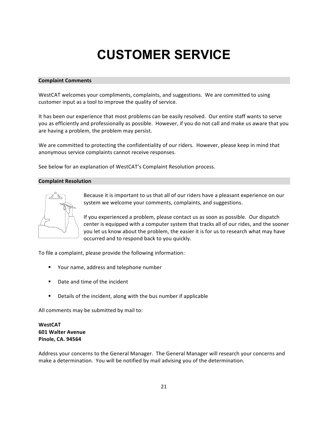# **CUSTOMER SERVICE**

#### **Complaint#Comments**

WestCAT welcomes your compliments, complaints, and suggestions. We are committed to using customer input as a tool to improve the quality of service.

It has been our experience that most problems can be easily resolved. Our entire staff wants to serve you as efficiently and professionally as possible. However, if you do not call and make us aware that you are having a problem, the problem may persist.

We are committed to protecting the confidentiality of our riders. However, please keep in mind that anonymous service complaints cannot receive responses.

See below for an explanation of WestCAT's Complaint Resolution process.

#### **Complaint Resolution**



Because it is important to us that all of our riders have a pleasant experience on our system we welcome your comments, complaints, and suggestions.

If you experienced a problem, please contact us as soon as possible. Our dispatch center is equipped with a computer system that tracks all of our rides, and the sooner you let us know about the problem, the easier it is for us to research what may have occurred and to respond back to you quickly.

To file a complaint, please provide the following information:

- " Your name, address and telephone number
- Date and time of the incident
- " Details of the incident, along with the bus number if applicable

All comments may be submitted by mail to:

**WestCAT 601 Walter Avenue Pinole,#CA.#94564**

Address your concerns to the General Manager. The General Manager will research your concerns and make a determination. You will be notified by mail advising you of the determination.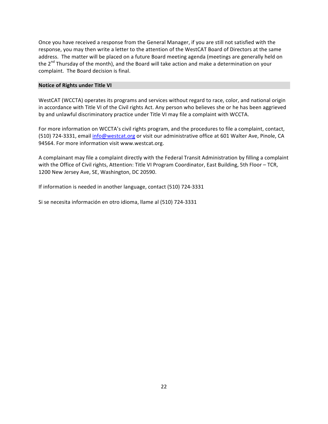Once you have received a response from the General Manager, if you are still not satisfied with the response, you may then write a letter to the attention of the WestCAT Board of Directors at the same address. The matter will be placed on a future Board meeting agenda (meetings are generally held on the  $2<sup>nd</sup>$  Thursday of the month), and the Board will take action and make a determination on your complaint. The Board decision is final.

#### **Notice of Rights under Title VI**

WestCAT (WCCTA) operates its programs and services without regard to race, color, and national origin in accordance with Title VI of the Civil rights Act. Any person who believes she or he has been aggrieved by and unlawful discriminatory practice under Title VI may file a complaint with WCCTA.

For more information on WCCTA's civil rights program, and the procedures to file a complaint, contact, (510) 724-3331, email info@westcat.org or visit our administrative office at 601 Walter Ave, Pinole, CA 94564. For more information visit www.westcat.org.

A complainant may file a complaint directly with the Federal Transit Administration by filling a complaint with the Office of Civil rights, Attention: Title VI Program Coordinator, East Building, 5th Floor – TCR, 1200 New Jersey Ave, SE, Washington, DC 20590.

If information is needed in another language, contact (510) 724-3331

Si se necesita información en otro idioma, llame al (510) 724-3331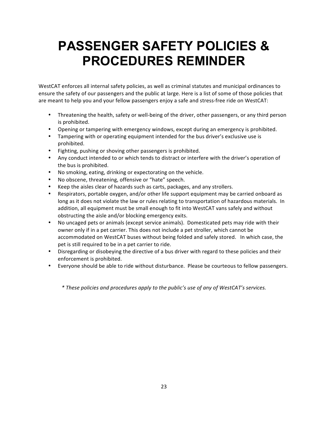## **PASSENGER SAFETY POLICIES & PROCEDURES REMINDER**

WestCAT enforces all internal safety policies, as well as criminal statutes and municipal ordinances to ensure the safety of our passengers and the public at large. Here is a list of some of those policies that are meant to help you and your fellow passengers enjoy a safe and stress-free ride on WestCAT:

- Threatening the health, safety or well-being of the driver, other passengers, or any third person is prohibited.
- Opening or tampering with emergency windows, except during an emergency is prohibited.
- Tampering with or operating equipment intended for the bus driver's exclusive use is prohibited.
- Fighting, pushing or shoving other passengers is prohibited.
- Any conduct intended to or which tends to distract or interfere with the driver's operation of the bus is prohibited.
- No smoking, eating, drinking or expectorating on the vehicle.
- No obscene, threatening, offensive or "hate" speech.
- Keep the aisles clear of hazards such as carts, packages, and any strollers.
- Respirators, portable oxygen, and/or other life support equipment may be carried onboard as long as it does not violate the law or rules relating to transportation of hazardous materials. In addition, all equipment must be small enough to fit into WestCAT vans safely and without obstructing the aisle and/or blocking emergency exits.
- No uncaged pets or animals (except service animals). Domesticated pets may ride with their owner only if in a pet carrier. This does not include a pet stroller, which cannot be accommodated on WestCAT buses without being folded and safely stored. In which case, the pet is still required to be in a pet carrier to ride.
- Disregarding or disobeying the directive of a bus driver with regard to these policies and their enforcement is prohibited.
- Everyone should be able to ride without disturbance. Please be courteous to fellow passengers.

*\*)These)policies)and)procedures)apply)to)the)public's)use)of)any)of)WestCAT's)services.*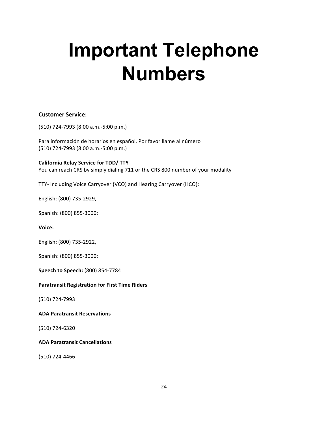# **Important Telephone Numbers**

#### **Customer Service:**

(510) 724-7993 (8:00 a.m.-5:00 p.m.)

Para información de horarios en español. Por favor llame al número (510) 724-7993 (8:00 a.m.-5:00 p.m.)

**California Relay Service for TDD/ TTY** You can reach CRS by simply dialing 711 or the CRS 800 number of your modality

TTY- including Voice Carryover (VCO) and Hearing Carryover (HCO):

English: (800) 735-2929,

Spanish: (800) 855-3000;

**Voice:** 

English: (800) 735-2922,

Spanish: (800) 855-3000;

**Speech to Speech:** (800) 854-7784

#### **Paratransit Registration for First Time Riders**

(510) 724-7993

**ADA Paratransit Reservations** 

(510) 724-6320

**ADA Paratransit Cancellations** 

(510) 724-4466